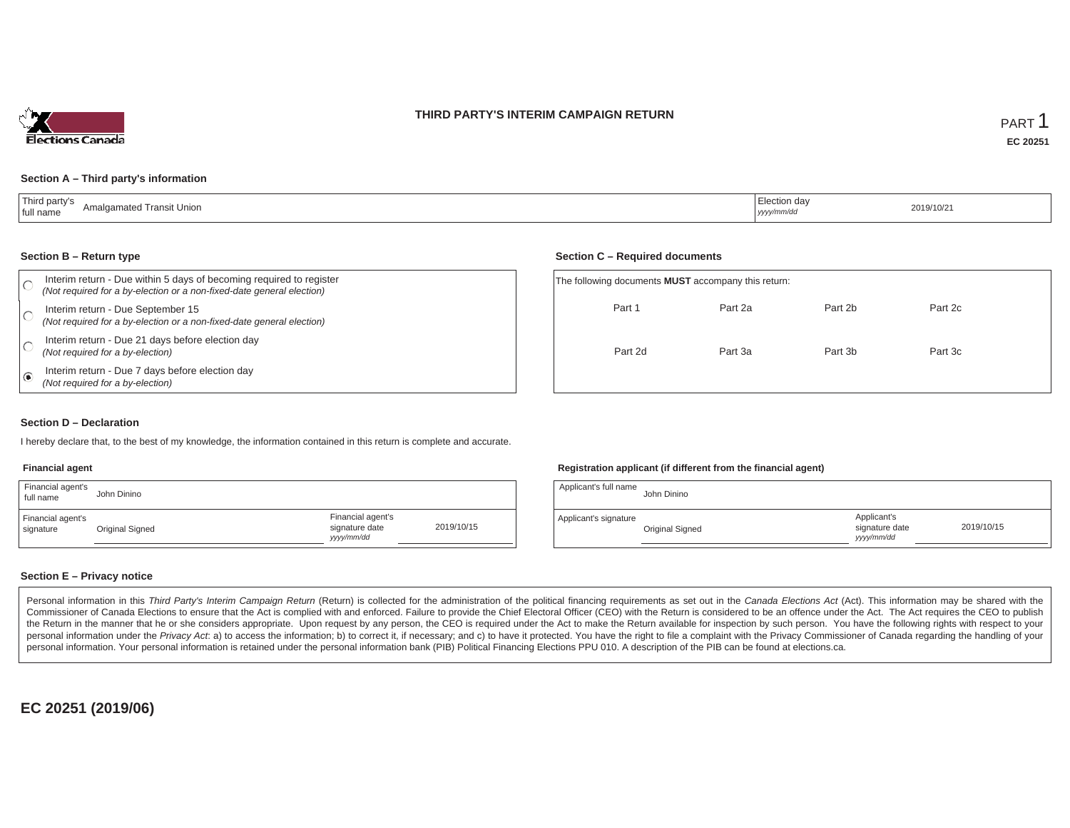### **THIRD PARTY'S INTERIM CAMPAIGN RETURN**



#### **Section A – Third party's information**

| Third party's<br>Amalgamated Transit Union<br>  full name | ' Election day<br><sub> </sub> yyyy/mm/dd | 2019/10/21 |
|-----------------------------------------------------------|-------------------------------------------|------------|
|-----------------------------------------------------------|-------------------------------------------|------------|

#### **Section B – Return type**

| Interim return - Due within 5 days of becoming required to register<br>(Not required for a by-election or a non-fixed-date general election) | The following documents <b>MUST</b> accompany this return: |         |         |         |  |
|----------------------------------------------------------------------------------------------------------------------------------------------|------------------------------------------------------------|---------|---------|---------|--|
| Interim return - Due September 15<br>(Not required for a by-election or a non-fixed-date general election)                                   | Part 1                                                     | Part 2a | Part 2b | Part 2c |  |
| Interim return - Due 21 days before election day<br>(Not required for a by-election)                                                         | Part 2d                                                    | Part 3a | Part 3b | Part 3c |  |
| Interim return - Due 7 days before election day<br>(Not required for a by-election)                                                          |                                                            |         |         |         |  |

### **Section D – Declaration**

I hereby declare that, to the best of my knowledge, the information contained in this return is complete and accurate.

#### **Financial agent**

| Financial agent's<br>full name | John Dinino     |                                                  |            |
|--------------------------------|-----------------|--------------------------------------------------|------------|
| Financial agent's<br>signature | Original Signed | Financial agent's<br>signature date<br>vyy/mm/dd | 2019/10/15 |

### **Registration applicant (if different from the financial agent)**

| Applicant's full name | John Dinino     |                                            |            |
|-----------------------|-----------------|--------------------------------------------|------------|
| Applicant's signature | Original Signed | Applicant's<br>signature date<br>vyy/mm/dd | 2019/10/15 |

### **Section E – Privacy notice**

Personal information in this Third Party's Interim Campaign Return (Return) is collected for the administration of the political financing requirements as set out in the Canada Elections Act (Act). This information may be Commissioner of Canada Elections to ensure that the Act is complied with and enforced. Failure to provide the Chief Electoral Officer (CEO) with the Return is considered to be an offence under the Act. The Act requires the the Return in the manner that he or she considers appropriate. Upon request by any person, the CEO is required under the Act to make the Return available for inspection by such person. You have the following rights with re personal information under the Privacy Act. a) to access the information; b) to correct it, if necessary; and c) to have it protected. You have the right to file a complaint with the Privacy Commissioner of Canada regardin personal information. Your personal information is retained under the personal information bank (PIB) Political Financing Elections PPU 010. A description of the PIB can be found at elections.ca.

**EC 20251 (2019/06)**

### **Section C – Required documents**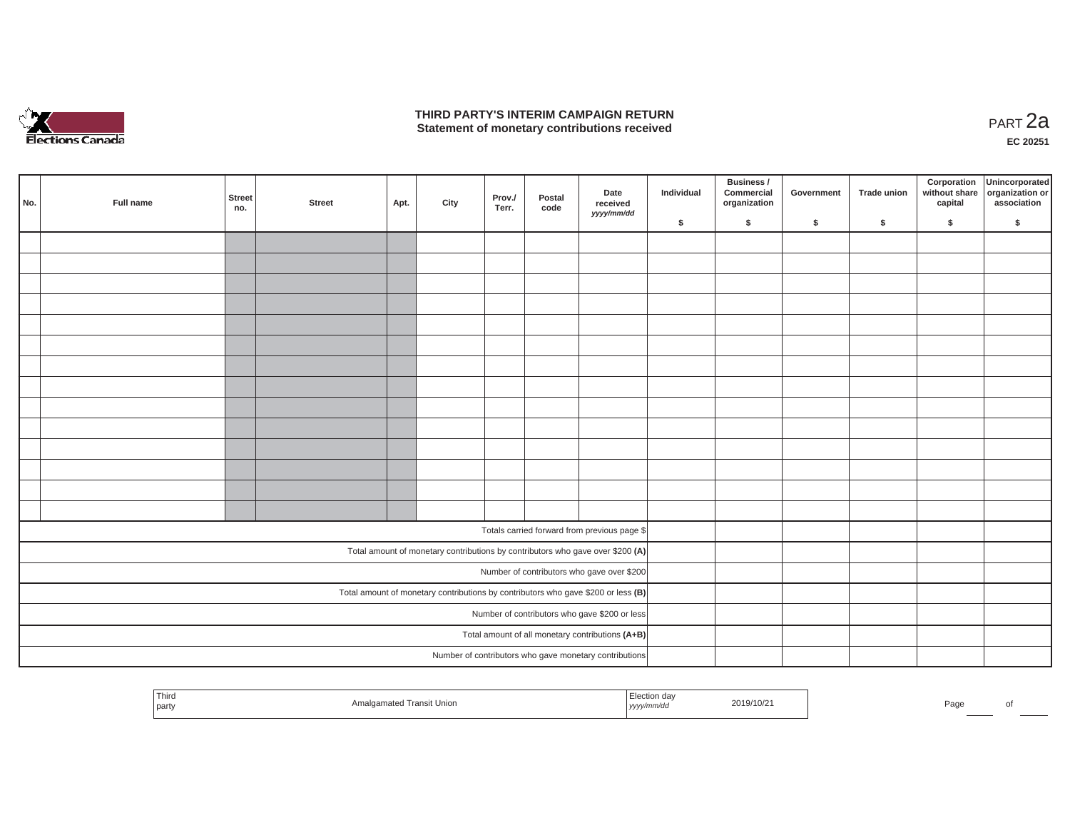

### **THIRD PARTY'S INTERIM CAMPAIGN RETURN THIRD PARTY'S INTERIM CAMPAIGN RETURN<br>Statement of monetary contributions received PART 2a**

**EC 20251**

| No.                                                                               | Full name | <b>Street</b><br>no. | <b>Street</b> | Apt. | City | Prov./<br>Terr. | Postal<br>code | Date<br>received<br>yyyy/mm/dd                                                 | Individual | Business /<br>Commercial<br>organization | Government | Trade union | Corporation<br>capital | Unincorporated<br>without share organization or<br>association |
|-----------------------------------------------------------------------------------|-----------|----------------------|---------------|------|------|-----------------|----------------|--------------------------------------------------------------------------------|------------|------------------------------------------|------------|-------------|------------------------|----------------------------------------------------------------|
|                                                                                   |           |                      |               |      |      |                 |                |                                                                                | \$         | \$                                       | \$         | $\sqrt{2}$  | \$                     | \$                                                             |
|                                                                                   |           |                      |               |      |      |                 |                |                                                                                |            |                                          |            |             |                        |                                                                |
|                                                                                   |           |                      |               |      |      |                 |                |                                                                                |            |                                          |            |             |                        |                                                                |
|                                                                                   |           |                      |               |      |      |                 |                |                                                                                |            |                                          |            |             |                        |                                                                |
|                                                                                   |           |                      |               |      |      |                 |                |                                                                                |            |                                          |            |             |                        |                                                                |
|                                                                                   |           |                      |               |      |      |                 |                |                                                                                |            |                                          |            |             |                        |                                                                |
|                                                                                   |           |                      |               |      |      |                 |                |                                                                                |            |                                          |            |             |                        |                                                                |
|                                                                                   |           |                      |               |      |      |                 |                |                                                                                |            |                                          |            |             |                        |                                                                |
|                                                                                   |           |                      |               |      |      |                 |                |                                                                                |            |                                          |            |             |                        |                                                                |
|                                                                                   |           |                      |               |      |      |                 |                |                                                                                |            |                                          |            |             |                        |                                                                |
|                                                                                   |           |                      |               |      |      |                 |                |                                                                                |            |                                          |            |             |                        |                                                                |
|                                                                                   |           |                      |               |      |      |                 |                |                                                                                |            |                                          |            |             |                        |                                                                |
|                                                                                   |           |                      |               |      |      |                 |                |                                                                                |            |                                          |            |             |                        |                                                                |
|                                                                                   |           |                      |               |      |      |                 |                |                                                                                |            |                                          |            |             |                        |                                                                |
|                                                                                   |           |                      |               |      |      |                 |                |                                                                                |            |                                          |            |             |                        |                                                                |
|                                                                                   |           |                      |               |      |      |                 |                |                                                                                |            |                                          |            |             |                        |                                                                |
|                                                                                   |           |                      |               |      |      |                 |                | Totals carried forward from previous page \$                                   |            |                                          |            |             |                        |                                                                |
|                                                                                   |           |                      |               |      |      |                 |                | Total amount of monetary contributions by contributors who gave over \$200 (A) |            |                                          |            |             |                        |                                                                |
|                                                                                   |           |                      |               |      |      |                 |                | Number of contributors who gave over \$200                                     |            |                                          |            |             |                        |                                                                |
| Total amount of monetary contributions by contributors who gave \$200 or less (B) |           |                      |               |      |      |                 |                |                                                                                |            |                                          |            |             |                        |                                                                |
| Number of contributors who gave \$200 or less                                     |           |                      |               |      |      |                 |                |                                                                                |            |                                          |            |             |                        |                                                                |
|                                                                                   |           |                      |               |      |      |                 |                | Total amount of all monetary contributions (A+B)                               |            |                                          |            |             |                        |                                                                |
|                                                                                   |           |                      |               |      |      |                 |                | Number of contributors who gave monetary contributions                         |            |                                          |            |             |                        |                                                                |
|                                                                                   |           |                      |               |      |      |                 |                |                                                                                |            |                                          |            |             |                        |                                                                |

| ud'<br>2019/10/2<br>Page.<br>,,,,,,,,<br><b>yyy.</b> |
|------------------------------------------------------|
|                                                      |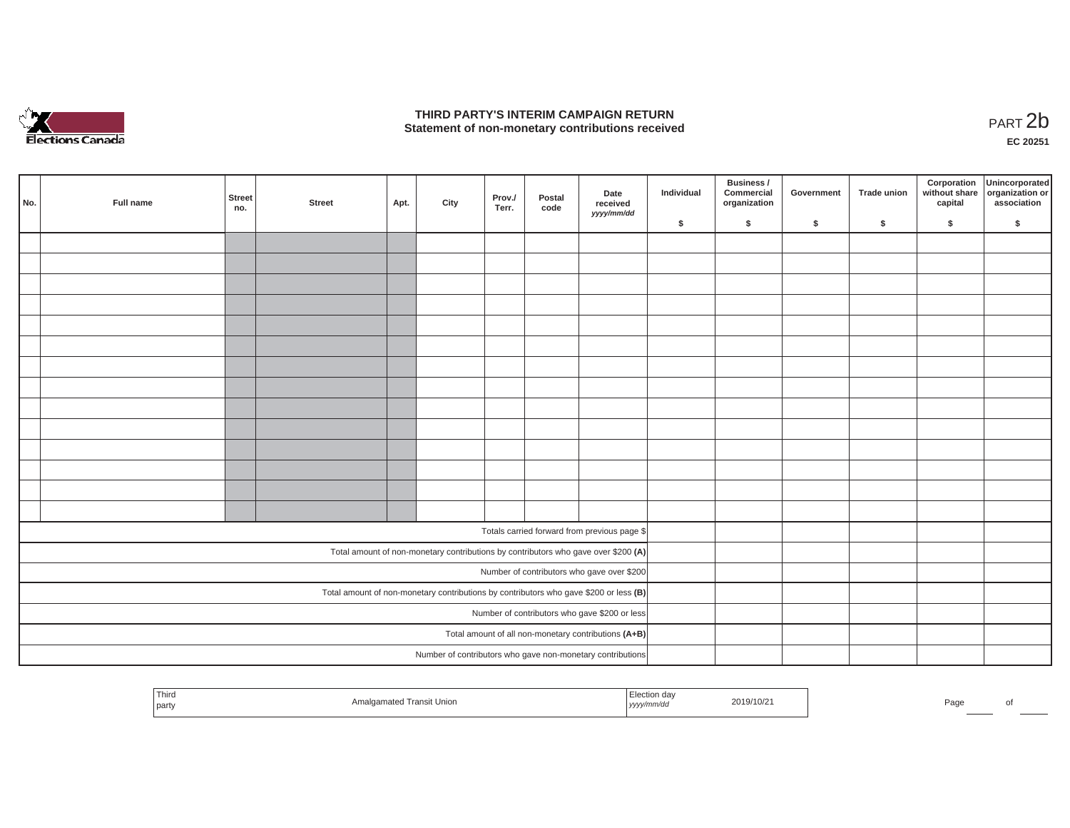

### **THIRD PARTY'S INTERIM CAMPAIGN RETURN**  THIRD PARTY'S INTERIM CAMPAIGN RETURN<br>Statement of non-monetary contributions received<br>**PART 2**b

**EC 20251**

|                                                                                       | No. | Full name | <b>Street</b><br>no. | <b>Street</b> | Apt. | City | Prov./<br>Terr. | Postal<br>code | Date<br>received<br>yyyy/mm/dd                                                     | Individual | Business /<br>Commercial<br>organization | Government | <b>Trade union</b> | Corporation<br>without share<br>capital | Unincorporated<br>organization or<br>association |
|---------------------------------------------------------------------------------------|-----|-----------|----------------------|---------------|------|------|-----------------|----------------|------------------------------------------------------------------------------------|------------|------------------------------------------|------------|--------------------|-----------------------------------------|--------------------------------------------------|
|                                                                                       |     |           |                      |               |      |      |                 |                |                                                                                    | \$         | \$                                       | \$         | \$                 | \$                                      | \$                                               |
|                                                                                       |     |           |                      |               |      |      |                 |                |                                                                                    |            |                                          |            |                    |                                         |                                                  |
|                                                                                       |     |           |                      |               |      |      |                 |                |                                                                                    |            |                                          |            |                    |                                         |                                                  |
|                                                                                       |     |           |                      |               |      |      |                 |                |                                                                                    |            |                                          |            |                    |                                         |                                                  |
|                                                                                       |     |           |                      |               |      |      |                 |                |                                                                                    |            |                                          |            |                    |                                         |                                                  |
|                                                                                       |     |           |                      |               |      |      |                 |                |                                                                                    |            |                                          |            |                    |                                         |                                                  |
|                                                                                       |     |           |                      |               |      |      |                 |                |                                                                                    |            |                                          |            |                    |                                         |                                                  |
|                                                                                       |     |           |                      |               |      |      |                 |                |                                                                                    |            |                                          |            |                    |                                         |                                                  |
|                                                                                       |     |           |                      |               |      |      |                 |                |                                                                                    |            |                                          |            |                    |                                         |                                                  |
|                                                                                       |     |           |                      |               |      |      |                 |                |                                                                                    |            |                                          |            |                    |                                         |                                                  |
|                                                                                       |     |           |                      |               |      |      |                 |                |                                                                                    |            |                                          |            |                    |                                         |                                                  |
|                                                                                       |     |           |                      |               |      |      |                 |                |                                                                                    |            |                                          |            |                    |                                         |                                                  |
|                                                                                       |     |           |                      |               |      |      |                 |                |                                                                                    |            |                                          |            |                    |                                         |                                                  |
|                                                                                       |     |           |                      |               |      |      |                 |                |                                                                                    |            |                                          |            |                    |                                         |                                                  |
|                                                                                       |     |           |                      |               |      |      |                 |                |                                                                                    |            |                                          |            |                    |                                         |                                                  |
|                                                                                       |     |           |                      |               |      |      |                 |                | Totals carried forward from previous page \$                                       |            |                                          |            |                    |                                         |                                                  |
|                                                                                       |     |           |                      |               |      |      |                 |                | Total amount of non-monetary contributions by contributors who gave over \$200 (A) |            |                                          |            |                    |                                         |                                                  |
|                                                                                       |     |           |                      |               |      |      |                 |                | Number of contributors who gave over \$200                                         |            |                                          |            |                    |                                         |                                                  |
| Total amount of non-monetary contributions by contributors who gave \$200 or less (B) |     |           |                      |               |      |      |                 |                |                                                                                    |            |                                          |            |                    |                                         |                                                  |
| Number of contributors who gave \$200 or less                                         |     |           |                      |               |      |      |                 |                |                                                                                    |            |                                          |            |                    |                                         |                                                  |
|                                                                                       |     |           |                      |               |      |      |                 |                | Total amount of all non-monetary contributions (A+B)                               |            |                                          |            |                    |                                         |                                                  |
|                                                                                       |     |           |                      |               |      |      |                 |                | Number of contributors who gave non-monetary contributions                         |            |                                          |            |                    |                                         |                                                  |

| Third<br>party | ` Transit Unior∟ | $\sim$<br>⊟ection dav<br>.<br>yyyy/mm/dd | 2019/10/2 | Paα∈ |  |
|----------------|------------------|------------------------------------------|-----------|------|--|
|                |                  |                                          |           |      |  |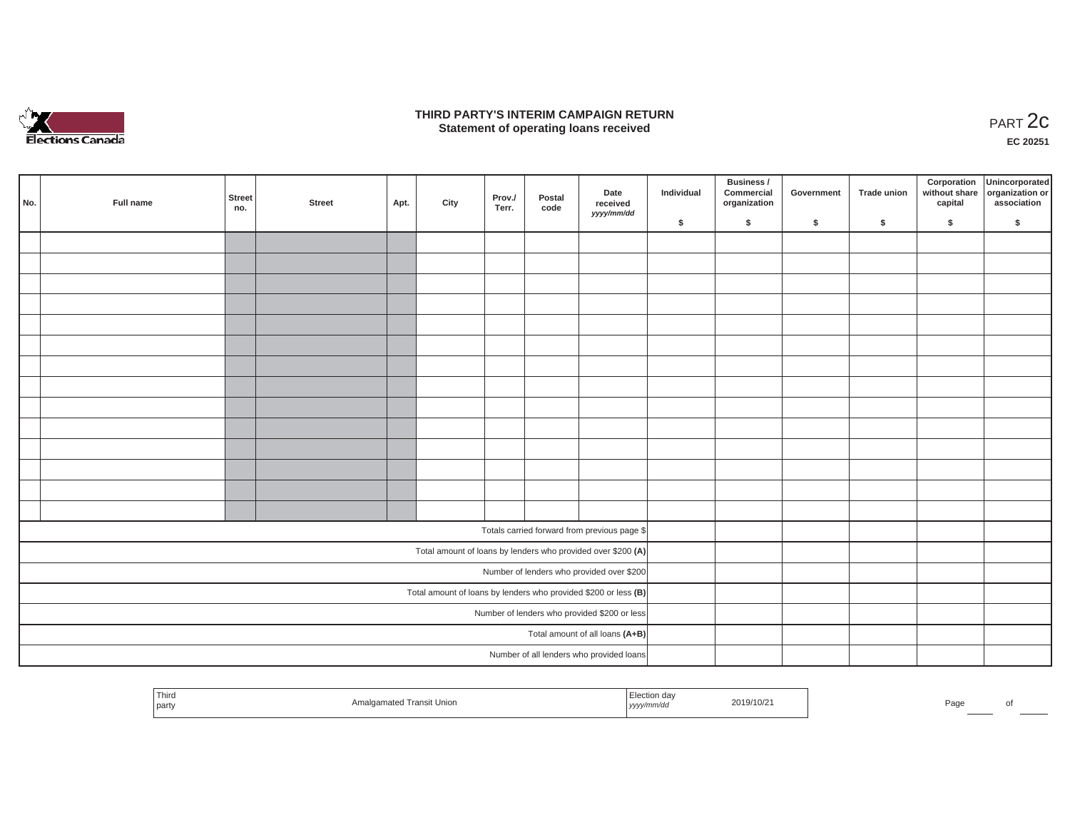

### **THIRD PARTY'S INTERIM CAMPAIGN RETURN**  RD PARTY'S INTERIM CAMPAIGN RETURN<br>Statement of operating loans received **PART 2c**

**EC 20251**

|                                                                   | No. | Full name | Street<br>no. | <b>Street</b> | Apt. | City | Prov./<br>Terr. | Postal<br>code | Date<br>received<br>yyyy/mm/dd                               | Individual | Business /<br>Commercial<br>organization | Government | Trade union | Corporation<br>capital | Unincorporated<br>without share organization or<br>association |
|-------------------------------------------------------------------|-----|-----------|---------------|---------------|------|------|-----------------|----------------|--------------------------------------------------------------|------------|------------------------------------------|------------|-------------|------------------------|----------------------------------------------------------------|
|                                                                   |     |           |               |               |      |      |                 |                |                                                              | \$         | $\mathsf{s}$                             | \$         | \$          | \$                     | \$                                                             |
|                                                                   |     |           |               |               |      |      |                 |                |                                                              |            |                                          |            |             |                        |                                                                |
|                                                                   |     |           |               |               |      |      |                 |                |                                                              |            |                                          |            |             |                        |                                                                |
|                                                                   |     |           |               |               |      |      |                 |                |                                                              |            |                                          |            |             |                        |                                                                |
|                                                                   |     |           |               |               |      |      |                 |                |                                                              |            |                                          |            |             |                        |                                                                |
|                                                                   |     |           |               |               |      |      |                 |                |                                                              |            |                                          |            |             |                        |                                                                |
|                                                                   |     |           |               |               |      |      |                 |                |                                                              |            |                                          |            |             |                        |                                                                |
|                                                                   |     |           |               |               |      |      |                 |                |                                                              |            |                                          |            |             |                        |                                                                |
|                                                                   |     |           |               |               |      |      |                 |                |                                                              |            |                                          |            |             |                        |                                                                |
|                                                                   |     |           |               |               |      |      |                 |                |                                                              |            |                                          |            |             |                        |                                                                |
|                                                                   |     |           |               |               |      |      |                 |                |                                                              |            |                                          |            |             |                        |                                                                |
|                                                                   |     |           |               |               |      |      |                 |                |                                                              |            |                                          |            |             |                        |                                                                |
|                                                                   |     |           |               |               |      |      |                 |                |                                                              |            |                                          |            |             |                        |                                                                |
|                                                                   |     |           |               |               |      |      |                 |                |                                                              |            |                                          |            |             |                        |                                                                |
|                                                                   |     |           |               |               |      |      |                 |                |                                                              |            |                                          |            |             |                        |                                                                |
|                                                                   |     |           |               |               |      |      |                 |                | Totals carried forward from previous page \$                 |            |                                          |            |             |                        |                                                                |
|                                                                   |     |           |               |               |      |      |                 |                | Total amount of loans by lenders who provided over \$200 (A) |            |                                          |            |             |                        |                                                                |
|                                                                   |     |           |               |               |      |      |                 |                | Number of lenders who provided over \$200                    |            |                                          |            |             |                        |                                                                |
| Total amount of loans by lenders who provided \$200 or less $(B)$ |     |           |               |               |      |      |                 |                |                                                              |            |                                          |            |             |                        |                                                                |
| Number of lenders who provided \$200 or less                      |     |           |               |               |      |      |                 |                |                                                              |            |                                          |            |             |                        |                                                                |
| Total amount of all loans (A+B)                                   |     |           |               |               |      |      |                 |                |                                                              |            |                                          |            |             |                        |                                                                |
|                                                                   |     |           |               |               |      |      |                 |                | Number of all lenders who provided loans                     |            |                                          |            |             |                        |                                                                |

| Third<br>party | . ransit<br>Union | www<br>ソソソソ | 2019/10/z | ᄀᇰᇰ<br>-aut |  |
|----------------|-------------------|-------------|-----------|-------------|--|
|                |                   |             |           |             |  |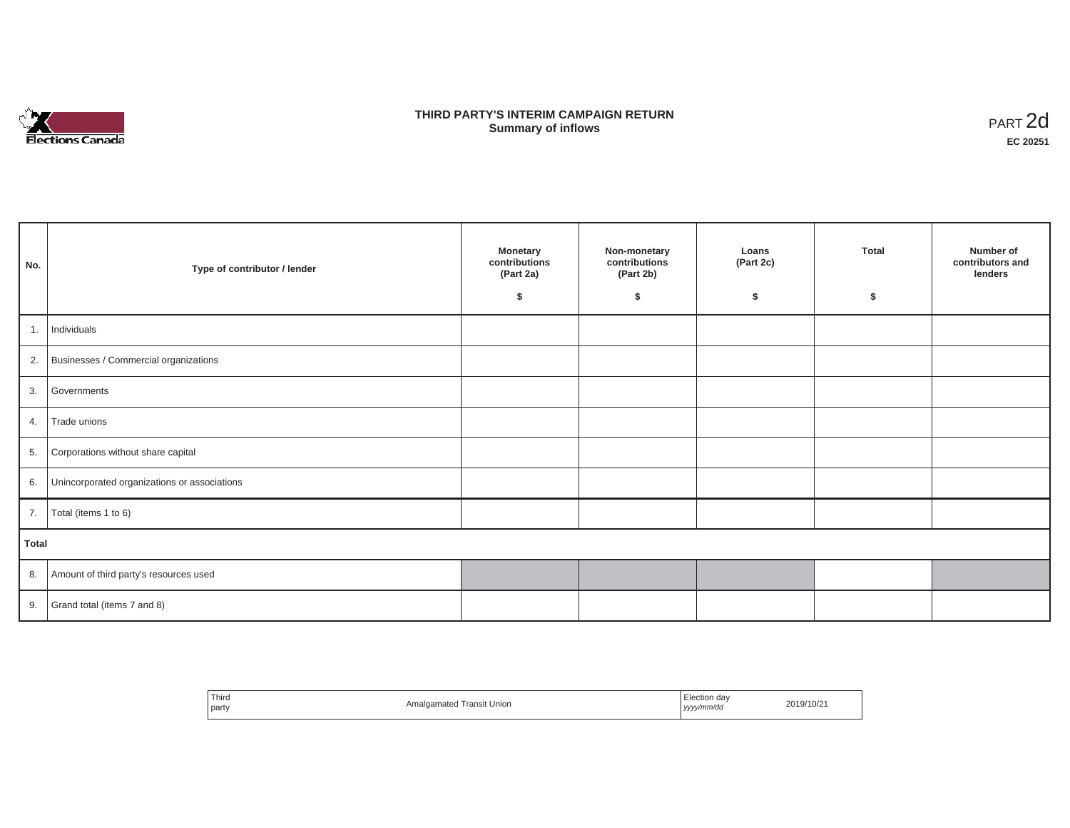

# **THIRD PARTY'S INTERIM CAMPAIGN RETURN SUMMARY STATE SUMMARY OF A SUMMARY OF A SUMMARY OF A SUMMARY OF A SUMMARY OF A SUMMARY OF A SUMMARY OF A SUMMA**<br> **Summary of inflows**

| No.   | Type of contributor / lender                    | <b>Monetary</b><br>contributions<br>(Part 2a)<br>Ŝ. | Non-monetary<br>contributions<br>(Part 2b)<br>\$ | Loans<br>(Part 2c)<br>\$ | <b>Total</b><br>\$ | Number of<br>contributors and<br>lenders |
|-------|-------------------------------------------------|-----------------------------------------------------|--------------------------------------------------|--------------------------|--------------------|------------------------------------------|
|       | 1. Individuals                                  |                                                     |                                                  |                          |                    |                                          |
|       | 2. Businesses / Commercial organizations        |                                                     |                                                  |                          |                    |                                          |
| 3.    | Governments                                     |                                                     |                                                  |                          |                    |                                          |
|       | 4. Trade unions                                 |                                                     |                                                  |                          |                    |                                          |
| 5.    | Corporations without share capital              |                                                     |                                                  |                          |                    |                                          |
|       | 6. Unincorporated organizations or associations |                                                     |                                                  |                          |                    |                                          |
|       | 7.   Total (items 1 to 6)                       |                                                     |                                                  |                          |                    |                                          |
| Total |                                                 |                                                     |                                                  |                          |                    |                                          |
|       | 8. Amount of third party's resources used       |                                                     |                                                  |                          |                    |                                          |
|       | 9. Grand total (items $7$ and $8$ )             |                                                     |                                                  |                          |                    |                                          |

| ' Third<br>party | Transit Union<br>Amalgamated | Election dav<br>yyyy/mm/da | 2019/10/21 |
|------------------|------------------------------|----------------------------|------------|
|                  |                              | ,,,,,                      |            |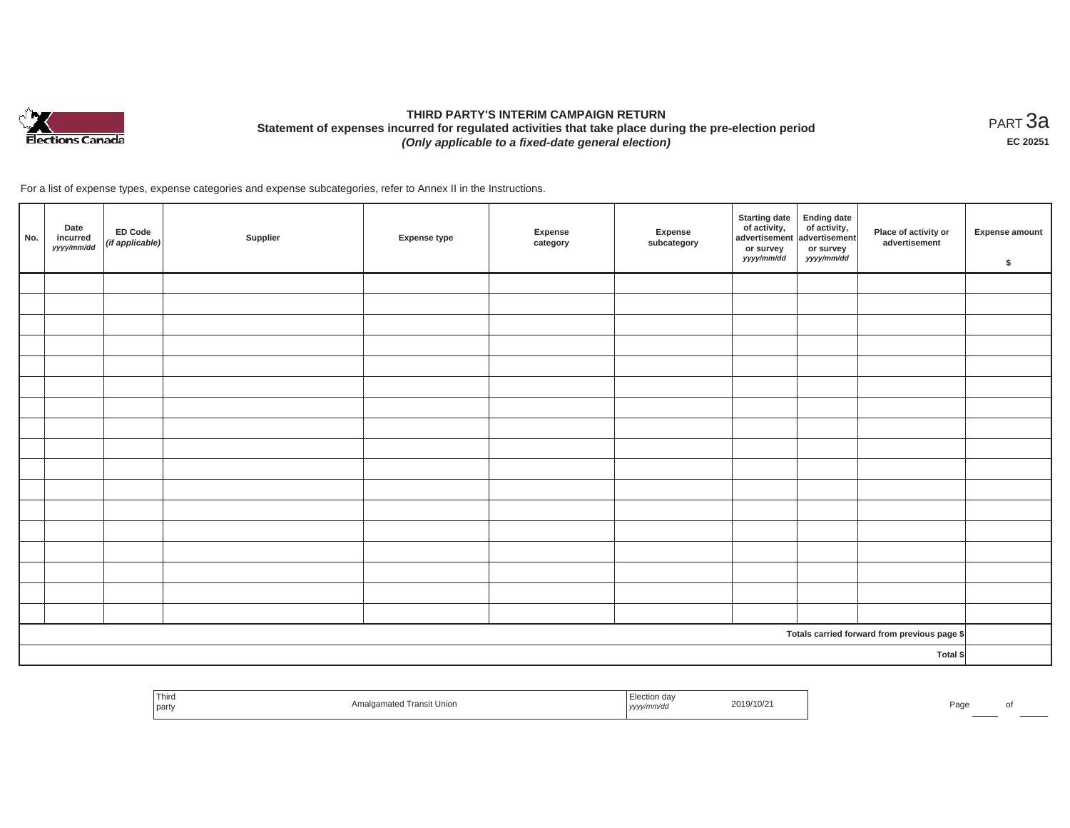

# **THIRD PARTY'S INTERIM CAMPAIGN RETURN Statement of expenses incurred for regulated activities that take place during the pre-election period**  *(Only applicable to a fixed-date general election)*

<code>PART $3$ a</code> **EC 20251**

For a list of expense types, expense categories and expense subcategories, refer to Annex II in the Instructions.

| No. | Date<br>incurred<br>yyyy/mm/dd | ED Code<br>(if applicable) | Supplier | Expense type | <b>Expense</b><br>category | Expense<br>subcategory | <b>Starting date</b><br>of activity,<br>advertisement<br>or survey<br>yyyy/mm/dd | <b>Ending date</b><br>of activity,<br>advertisement<br>or survey<br>yyyy/mm/dd | Place of activity or<br>advertisement        | Expense amount<br>$\sqrt[6]{3}$ |
|-----|--------------------------------|----------------------------|----------|--------------|----------------------------|------------------------|----------------------------------------------------------------------------------|--------------------------------------------------------------------------------|----------------------------------------------|---------------------------------|
|     |                                |                            |          |              |                            |                        |                                                                                  |                                                                                |                                              |                                 |
|     |                                |                            |          |              |                            |                        |                                                                                  |                                                                                |                                              |                                 |
|     |                                |                            |          |              |                            |                        |                                                                                  |                                                                                |                                              |                                 |
|     |                                |                            |          |              |                            |                        |                                                                                  |                                                                                |                                              |                                 |
|     |                                |                            |          |              |                            |                        |                                                                                  |                                                                                |                                              |                                 |
|     |                                |                            |          |              |                            |                        |                                                                                  |                                                                                |                                              |                                 |
|     |                                |                            |          |              |                            |                        |                                                                                  |                                                                                |                                              |                                 |
|     |                                |                            |          |              |                            |                        |                                                                                  |                                                                                |                                              |                                 |
|     |                                |                            |          |              |                            |                        |                                                                                  |                                                                                |                                              |                                 |
|     |                                |                            |          |              |                            |                        |                                                                                  |                                                                                |                                              |                                 |
|     |                                |                            |          |              |                            |                        |                                                                                  |                                                                                |                                              |                                 |
|     |                                |                            |          |              |                            |                        |                                                                                  |                                                                                |                                              |                                 |
|     |                                |                            |          |              |                            |                        |                                                                                  |                                                                                |                                              |                                 |
|     |                                |                            |          |              |                            |                        |                                                                                  |                                                                                |                                              |                                 |
|     |                                |                            |          |              |                            |                        |                                                                                  |                                                                                |                                              |                                 |
|     |                                |                            |          |              |                            |                        |                                                                                  |                                                                                |                                              |                                 |
|     |                                |                            |          |              |                            |                        |                                                                                  |                                                                                |                                              |                                 |
|     |                                |                            |          |              |                            |                        |                                                                                  |                                                                                | Totals carried forward from previous page \$ |                                 |
|     |                                |                            |          |              |                            |                        |                                                                                  |                                                                                | Total \$                                     |                                 |

| Third<br>party | algamated Transit Union | ⊧lection dav<br>, yyyy/mm/aa | :019/10/21 | Page |     |
|----------------|-------------------------|------------------------------|------------|------|-----|
|                |                         |                              |            |      | ___ |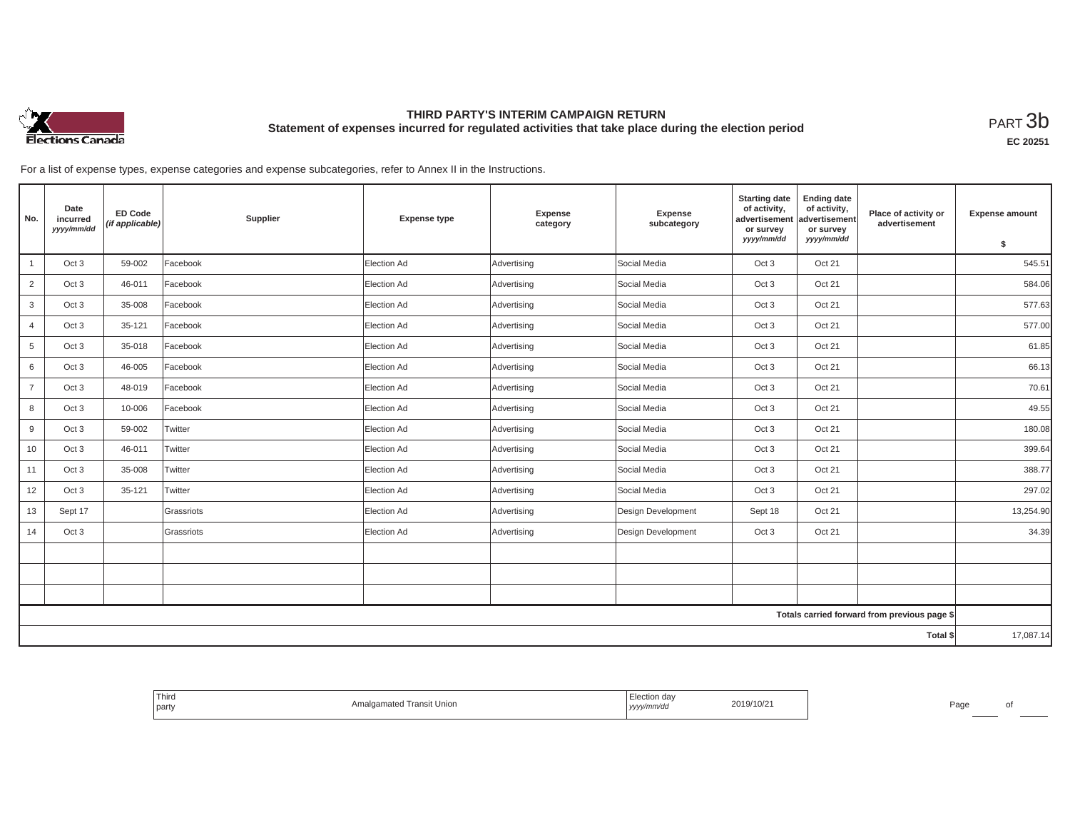

### **THIRD PARTY'S INTERIM CAMPAIGN RETURN Statement of expenses incurred for regulated activities that take place during the election period**<br>РАRТ  $3\mathrm{b}$

**EC 20251**

For a list of expense types, expense categories and expense subcategories, refer to Annex II in the Instructions.

| No.             | Date<br>incurred<br>yyyy/mm/dd | <b>ED Code</b><br>(if applicable) | Supplier   | <b>Expense type</b> | <b>Expense</b><br>category | <b>Expense</b><br>subcategory | <b>Starting date</b><br>of activity,<br>advertisement<br>or survey | <b>Ending date</b><br>of activity,<br>advertisement<br>or survey | Place of activity or<br>advertisement        | <b>Expense amount</b> |
|-----------------|--------------------------------|-----------------------------------|------------|---------------------|----------------------------|-------------------------------|--------------------------------------------------------------------|------------------------------------------------------------------|----------------------------------------------|-----------------------|
|                 |                                |                                   |            |                     |                            |                               | yyyy/mm/dd                                                         | yyyy/mm/dd                                                       |                                              | \$                    |
| $\mathbf{1}$    | Oct 3                          | 59-002                            | Facebook   | Election Ad         | Advertising                | Social Media                  | Oct 3                                                              | Oct 21                                                           |                                              | 545.51                |
| $\overline{2}$  | Oct 3                          | 46-011                            | Facebook   | Election Ad         | Advertising                | Social Media                  | Oct 3                                                              | Oct 21                                                           |                                              | 584.06                |
| 3               | Oct 3                          | 35-008                            | Facebook   | Election Ad         | Advertising                | Social Media                  | Oct 3                                                              | Oct 21                                                           |                                              | 577.63                |
| $\overline{4}$  | Oct 3                          | 35-121                            | Facebook   | Election Ad         | Advertising                | Social Media                  | Oct 3                                                              | Oct 21                                                           |                                              | 577.00                |
| 5               | Oct 3                          | 35-018                            | Facebook   | Election Ad         | Advertising                | Social Media                  | Oct 3                                                              | Oct 21                                                           |                                              | 61.85                 |
| 6               | Oct 3                          | 46-005                            | Facebook   | Election Ad         | Advertising                | Social Media                  | Oct 3                                                              | Oct 21                                                           |                                              | 66.13                 |
| $\overline{7}$  | Oct 3                          | 48-019                            | Facebook   | Election Ad         | Advertising                | Social Media                  | Oct 3                                                              | Oct 21                                                           |                                              | 70.61                 |
| 8               | Oct 3                          | 10-006                            | Facebook   | Election Ad         | Advertising                | Social Media                  | Oct 3                                                              | Oct 21                                                           |                                              | 49.55                 |
| 9               | Oct 3                          | 59-002                            | Twitter    | Election Ad         | Advertising                | Social Media                  | Oct 3                                                              | Oct 21                                                           |                                              | 180.08                |
| 10 <sup>1</sup> | Oct 3                          | 46-011                            | Twitter    | Election Ad         | Advertising                | Social Media                  | Oct 3                                                              | Oct 21                                                           |                                              | 399.64                |
| 11              | Oct 3                          | 35-008                            | Twitter    | Election Ad         | Advertising                | Social Media                  | Oct 3                                                              | Oct 21                                                           |                                              | 388.77                |
| 12              | Oct 3                          | 35-121                            | Twitter    | Election Ad         | Advertising                | Social Media                  | Oct 3                                                              | Oct 21                                                           |                                              | 297.02                |
| 13              | Sept 17                        |                                   | Grassriots | Election Ad         | Advertising                | Design Development            | Sept 18                                                            | Oct 21                                                           |                                              | 13,254.90             |
| 14              | Oct 3                          |                                   | Grassriots | Election Ad         | Advertising                | Design Development            | Oct 3                                                              | Oct 21                                                           |                                              | 34.39                 |
|                 |                                |                                   |            |                     |                            |                               |                                                                    |                                                                  |                                              |                       |
|                 |                                |                                   |            |                     |                            |                               |                                                                    |                                                                  |                                              |                       |
|                 |                                |                                   |            |                     |                            |                               |                                                                    |                                                                  |                                              |                       |
|                 |                                |                                   |            |                     |                            |                               |                                                                    |                                                                  | Totals carried forward from previous page \$ |                       |
|                 |                                |                                   |            |                     |                            |                               |                                                                    |                                                                  | Total \$                                     | 17,087.14             |

| <sup>1</sup> Third<br>the control of the control of<br>party | <b>Imalgamated Transit Union</b> | <i>≟</i> lection day<br>2019/10/21<br>yyyy/mm/dd | Page<br>ΩI |
|--------------------------------------------------------------|----------------------------------|--------------------------------------------------|------------|
|--------------------------------------------------------------|----------------------------------|--------------------------------------------------|------------|